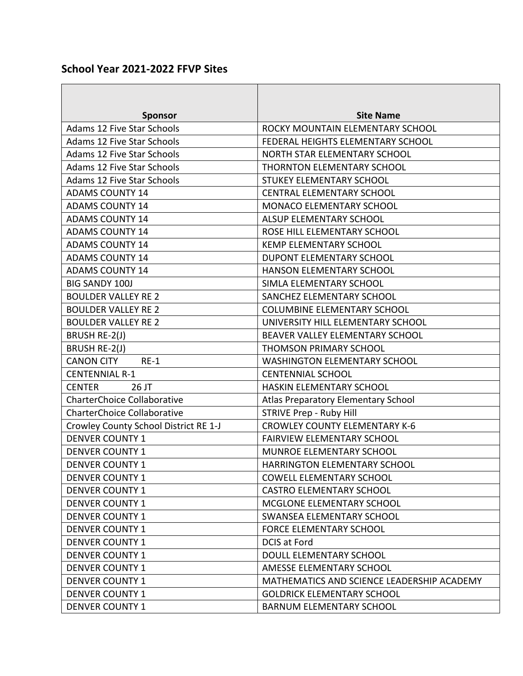## **School Year 2021-2022 FFVP Sites**

| <b>Sponsor</b>                        | <b>Site Name</b>                           |
|---------------------------------------|--------------------------------------------|
| Adams 12 Five Star Schools            | ROCKY MOUNTAIN ELEMENTARY SCHOOL           |
| <b>Adams 12 Five Star Schools</b>     | FEDERAL HEIGHTS ELEMENTARY SCHOOL          |
| <b>Adams 12 Five Star Schools</b>     | NORTH STAR ELEMENTARY SCHOOL               |
| <b>Adams 12 Five Star Schools</b>     | THORNTON ELEMENTARY SCHOOL                 |
| <b>Adams 12 Five Star Schools</b>     | STUKEY ELEMENTARY SCHOOL                   |
| <b>ADAMS COUNTY 14</b>                | <b>CENTRAL ELEMENTARY SCHOOL</b>           |
| <b>ADAMS COUNTY 14</b>                | MONACO ELEMENTARY SCHOOL                   |
| <b>ADAMS COUNTY 14</b>                | ALSUP ELEMENTARY SCHOOL                    |
| <b>ADAMS COUNTY 14</b>                | ROSE HILL ELEMENTARY SCHOOL                |
| <b>ADAMS COUNTY 14</b>                | <b>KEMP ELEMENTARY SCHOOL</b>              |
| <b>ADAMS COUNTY 14</b>                | DUPONT ELEMENTARY SCHOOL                   |
| <b>ADAMS COUNTY 14</b>                | HANSON ELEMENTARY SCHOOL                   |
| <b>BIG SANDY 100J</b>                 | SIMLA ELEMENTARY SCHOOL                    |
| <b>BOULDER VALLEY RE 2</b>            | SANCHEZ ELEMENTARY SCHOOL                  |
| <b>BOULDER VALLEY RE 2</b>            | <b>COLUMBINE ELEMENTARY SCHOOL</b>         |
| <b>BOULDER VALLEY RE 2</b>            | UNIVERSITY HILL ELEMENTARY SCHOOL          |
| BRUSH RE-2(J)                         | BEAVER VALLEY ELEMENTARY SCHOOL            |
| <b>BRUSH RE-2(J)</b>                  | <b>THOMSON PRIMARY SCHOOL</b>              |
| <b>CANON CITY</b><br>$RE-1$           | <b>WASHINGTON ELEMENTARY SCHOOL</b>        |
| <b>CENTENNIAL R-1</b>                 | <b>CENTENNIAL SCHOOL</b>                   |
| <b>CENTER</b><br>26 JT                | HASKIN ELEMENTARY SCHOOL                   |
| <b>CharterChoice Collaborative</b>    | Atlas Preparatory Elementary School        |
| <b>CharterChoice Collaborative</b>    | <b>STRIVE Prep - Ruby Hill</b>             |
| Crowley County School District RE 1-J | <b>CROWLEY COUNTY ELEMENTARY K-6</b>       |
| <b>DENVER COUNTY 1</b>                | <b>FAIRVIEW ELEMENTARY SCHOOL</b>          |
| <b>DENVER COUNTY 1</b>                | <b>MUNROE ELEMENTARY SCHOOL</b>            |
| <b>DENVER COUNTY 1</b>                | <b>HARRINGTON ELEMENTARY SCHOOL</b>        |
| <b>DENVER COUNTY 1</b>                | <b>COWELL ELEMENTARY SCHOOL</b>            |
| <b>DENVER COUNTY 1</b>                | <b>CASTRO ELEMENTARY SCHOOL</b>            |
| <b>DENVER COUNTY 1</b>                | MCGLONE ELEMENTARY SCHOOL                  |
| <b>DENVER COUNTY 1</b>                | SWANSEA ELEMENTARY SCHOOL                  |
| <b>DENVER COUNTY 1</b>                | <b>FORCE ELEMENTARY SCHOOL</b>             |
| <b>DENVER COUNTY 1</b>                | <b>DCIS at Ford</b>                        |
| <b>DENVER COUNTY 1</b>                | DOULL ELEMENTARY SCHOOL                    |
| <b>DENVER COUNTY 1</b>                | AMESSE ELEMENTARY SCHOOL                   |
| <b>DENVER COUNTY 1</b>                | MATHEMATICS AND SCIENCE LEADERSHIP ACADEMY |
| <b>DENVER COUNTY 1</b>                | <b>GOLDRICK ELEMENTARY SCHOOL</b>          |
| <b>DENVER COUNTY 1</b>                | <b>BARNUM ELEMENTARY SCHOOL</b>            |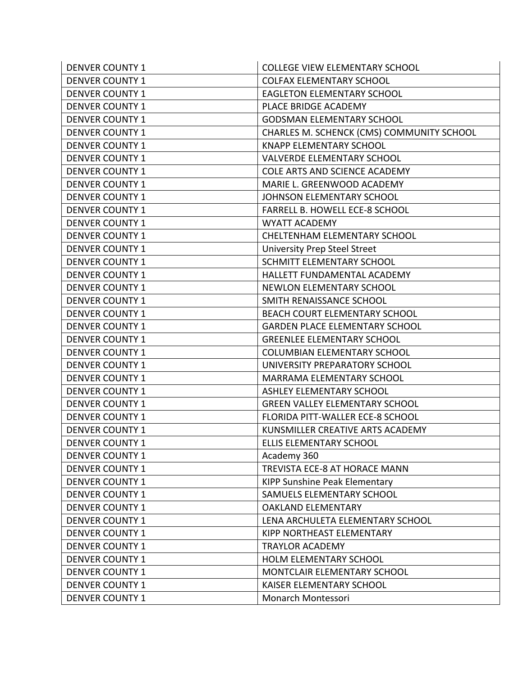| <b>DENVER COUNTY 1</b> | <b>COLLEGE VIEW ELEMENTARY SCHOOL</b>     |
|------------------------|-------------------------------------------|
| <b>DENVER COUNTY 1</b> | <b>COLFAX ELEMENTARY SCHOOL</b>           |
| <b>DENVER COUNTY 1</b> | <b>EAGLETON ELEMENTARY SCHOOL</b>         |
| <b>DENVER COUNTY 1</b> | PLACE BRIDGE ACADEMY                      |
| <b>DENVER COUNTY 1</b> | <b>GODSMAN ELEMENTARY SCHOOL</b>          |
| <b>DENVER COUNTY 1</b> | CHARLES M. SCHENCK (CMS) COMMUNITY SCHOOL |
| <b>DENVER COUNTY 1</b> | <b>KNAPP ELEMENTARY SCHOOL</b>            |
| <b>DENVER COUNTY 1</b> | <b>VALVERDE ELEMENTARY SCHOOL</b>         |
| <b>DENVER COUNTY 1</b> | COLE ARTS AND SCIENCE ACADEMY             |
| <b>DENVER COUNTY 1</b> | MARIE L. GREENWOOD ACADEMY                |
| <b>DENVER COUNTY 1</b> | JOHNSON ELEMENTARY SCHOOL                 |
| <b>DENVER COUNTY 1</b> | FARRELL B. HOWELL ECE-8 SCHOOL            |
| <b>DENVER COUNTY 1</b> | <b>WYATT ACADEMY</b>                      |
| <b>DENVER COUNTY 1</b> | CHELTENHAM ELEMENTARY SCHOOL              |
| <b>DENVER COUNTY 1</b> | <b>University Prep Steel Street</b>       |
| <b>DENVER COUNTY 1</b> | SCHMITT ELEMENTARY SCHOOL                 |
| <b>DENVER COUNTY 1</b> | HALLETT FUNDAMENTAL ACADEMY               |
| <b>DENVER COUNTY 1</b> | <b>NEWLON ELEMENTARY SCHOOL</b>           |
| <b>DENVER COUNTY 1</b> | SMITH RENAISSANCE SCHOOL                  |
| <b>DENVER COUNTY 1</b> | BEACH COURT ELEMENTARY SCHOOL             |
| <b>DENVER COUNTY 1</b> | <b>GARDEN PLACE ELEMENTARY SCHOOL</b>     |
| <b>DENVER COUNTY 1</b> | <b>GREENLEE ELEMENTARY SCHOOL</b>         |
| <b>DENVER COUNTY 1</b> | <b>COLUMBIAN ELEMENTARY SCHOOL</b>        |
| <b>DENVER COUNTY 1</b> | UNIVERSITY PREPARATORY SCHOOL             |
| <b>DENVER COUNTY 1</b> | MARRAMA ELEMENTARY SCHOOL                 |
| <b>DENVER COUNTY 1</b> | <b>ASHLEY ELEMENTARY SCHOOL</b>           |
| <b>DENVER COUNTY 1</b> | <b>GREEN VALLEY ELEMENTARY SCHOOL</b>     |
| <b>DENVER COUNTY 1</b> | FLORIDA PITT-WALLER ECE-8 SCHOOL          |
| <b>DENVER COUNTY 1</b> | KUNSMILLER CREATIVE ARTS ACADEMY          |
| <b>DENVER COUNTY 1</b> | ELLIS ELEMENTARY SCHOOL                   |
| <b>DENVER COUNTY 1</b> | Academy 360                               |
| <b>DENVER COUNTY 1</b> | TREVISTA ECE-8 AT HORACE MANN             |
| <b>DENVER COUNTY 1</b> | <b>KIPP Sunshine Peak Elementary</b>      |
| <b>DENVER COUNTY 1</b> | SAMUELS ELEMENTARY SCHOOL                 |
| <b>DENVER COUNTY 1</b> | <b>OAKLAND ELEMENTARY</b>                 |
| <b>DENVER COUNTY 1</b> | LENA ARCHULETA ELEMENTARY SCHOOL          |
| <b>DENVER COUNTY 1</b> | KIPP NORTHEAST ELEMENTARY                 |
| <b>DENVER COUNTY 1</b> | <b>TRAYLOR ACADEMY</b>                    |
| <b>DENVER COUNTY 1</b> | HOLM ELEMENTARY SCHOOL                    |
| <b>DENVER COUNTY 1</b> | MONTCLAIR ELEMENTARY SCHOOL               |
| <b>DENVER COUNTY 1</b> | KAISER ELEMENTARY SCHOOL                  |
| <b>DENVER COUNTY 1</b> | Monarch Montessori                        |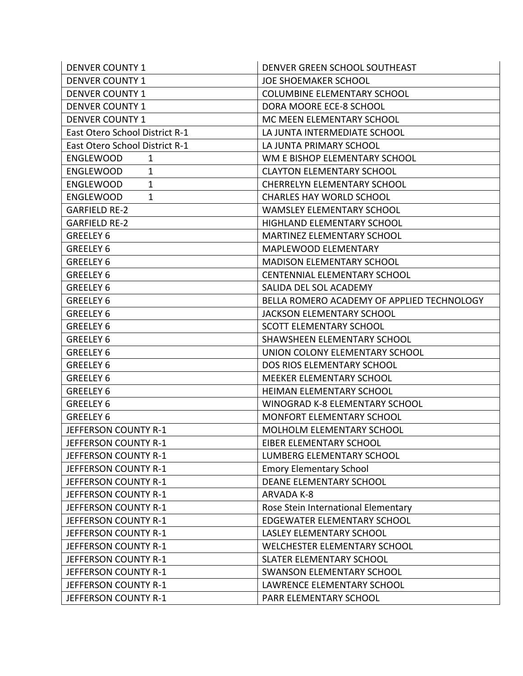| <b>DENVER COUNTY 1</b>          | DENVER GREEN SCHOOL SOUTHEAST              |
|---------------------------------|--------------------------------------------|
| <b>DENVER COUNTY 1</b>          | <b>JOE SHOEMAKER SCHOOL</b>                |
| <b>DENVER COUNTY 1</b>          | <b>COLUMBINE ELEMENTARY SCHOOL</b>         |
| <b>DENVER COUNTY 1</b>          | DORA MOORE ECE-8 SCHOOL                    |
| <b>DENVER COUNTY 1</b>          | MC MEEN ELEMENTARY SCHOOL                  |
| East Otero School District R-1  | LA JUNTA INTERMEDIATE SCHOOL               |
| East Otero School District R-1  | LA JUNTA PRIMARY SCHOOL                    |
| <b>ENGLEWOOD</b><br>$\mathbf 1$ | WM E BISHOP ELEMENTARY SCHOOL              |
| <b>ENGLEWOOD</b><br>1           | <b>CLAYTON ELEMENTARY SCHOOL</b>           |
| $\mathbf 1$<br><b>ENGLEWOOD</b> | <b>CHERRELYN ELEMENTARY SCHOOL</b>         |
| 1<br><b>ENGLEWOOD</b>           | <b>CHARLES HAY WORLD SCHOOL</b>            |
| <b>GARFIELD RE-2</b>            | <b>WAMSLEY ELEMENTARY SCHOOL</b>           |
| <b>GARFIELD RE-2</b>            | HIGHLAND ELEMENTARY SCHOOL                 |
| GREELEY 6                       | <b>MARTINEZ ELEMENTARY SCHOOL</b>          |
| GREELEY 6                       | MAPLEWOOD ELEMENTARY                       |
| GREELEY 6                       | <b>MADISON ELEMENTARY SCHOOL</b>           |
| <b>GREELEY 6</b>                | <b>CENTENNIAL ELEMENTARY SCHOOL</b>        |
| <b>GREELEY 6</b>                | SALIDA DEL SOL ACADEMY                     |
| GREELEY 6                       | BELLA ROMERO ACADEMY OF APPLIED TECHNOLOGY |
| GREELEY 6                       | <b>JACKSON ELEMENTARY SCHOOL</b>           |
| GREELEY 6                       | SCOTT ELEMENTARY SCHOOL                    |
| GREELEY 6                       | SHAWSHEEN ELEMENTARY SCHOOL                |
| GREELEY 6                       | UNION COLONY ELEMENTARY SCHOOL             |
| GREELEY 6                       | DOS RIOS ELEMENTARY SCHOOL                 |
| GREELEY 6                       | MEEKER ELEMENTARY SCHOOL                   |
| GREELEY 6                       | <b>HEIMAN ELEMENTARY SCHOOL</b>            |
| GREELEY 6                       | WINOGRAD K-8 ELEMENTARY SCHOOL             |
| GREELEY 6                       | MONFORT ELEMENTARY SCHOOL                  |
| JEFFERSON COUNTY R-1            | MOLHOLM ELEMENTARY SCHOOL                  |
| JEFFERSON COUNTY R-1            | EIBER ELEMENTARY SCHOOL                    |
| JEFFERSON COUNTY R-1            | LUMBERG ELEMENTARY SCHOOL                  |
| JEFFERSON COUNTY R-1            | <b>Emory Elementary School</b>             |
| JEFFERSON COUNTY R-1            | DEANE ELEMENTARY SCHOOL                    |
| JEFFERSON COUNTY R-1            | <b>ARVADA K-8</b>                          |
| JEFFERSON COUNTY R-1            | Rose Stein International Elementary        |
| JEFFERSON COUNTY R-1            | EDGEWATER ELEMENTARY SCHOOL                |
| JEFFERSON COUNTY R-1            | LASLEY ELEMENTARY SCHOOL                   |
| JEFFERSON COUNTY R-1            | WELCHESTER ELEMENTARY SCHOOL               |
| JEFFERSON COUNTY R-1            | <b>SLATER ELEMENTARY SCHOOL</b>            |
| JEFFERSON COUNTY R-1            | <b>SWANSON ELEMENTARY SCHOOL</b>           |
| JEFFERSON COUNTY R-1            | LAWRENCE ELEMENTARY SCHOOL                 |
| JEFFERSON COUNTY R-1            | PARR ELEMENTARY SCHOOL                     |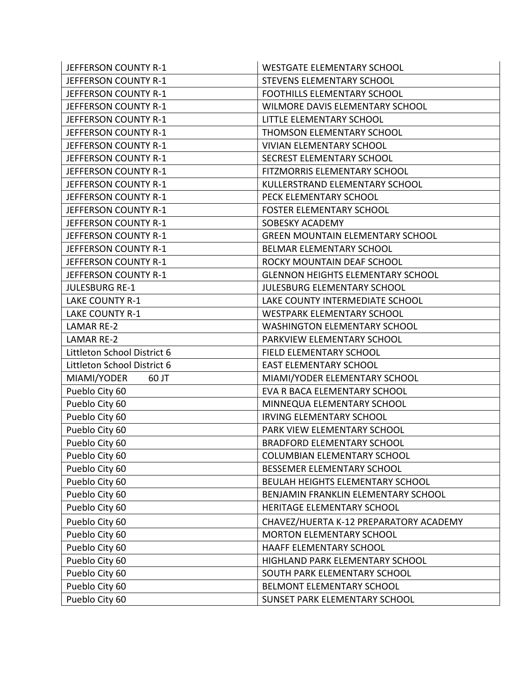| JEFFERSON COUNTY R-1        | <b>WESTGATE ELEMENTARY SCHOOL</b>        |
|-----------------------------|------------------------------------------|
| JEFFERSON COUNTY R-1        | STEVENS ELEMENTARY SCHOOL                |
| JEFFERSON COUNTY R-1        | FOOTHILLS ELEMENTARY SCHOOL              |
| JEFFERSON COUNTY R-1        | WILMORE DAVIS ELEMENTARY SCHOOL          |
| JEFFERSON COUNTY R-1        | LITTLE ELEMENTARY SCHOOL                 |
| JEFFERSON COUNTY R-1        | THOMSON ELEMENTARY SCHOOL                |
| JEFFERSON COUNTY R-1        | <b>VIVIAN ELEMENTARY SCHOOL</b>          |
| JEFFERSON COUNTY R-1        | SECREST ELEMENTARY SCHOOL                |
| JEFFERSON COUNTY R-1        | FITZMORRIS ELEMENTARY SCHOOL             |
| JEFFERSON COUNTY R-1        | KULLERSTRAND ELEMENTARY SCHOOL           |
| JEFFERSON COUNTY R-1        | PECK ELEMENTARY SCHOOL                   |
| JEFFERSON COUNTY R-1        | <b>FOSTER ELEMENTARY SCHOOL</b>          |
| JEFFERSON COUNTY R-1        | SOBESKY ACADEMY                          |
| JEFFERSON COUNTY R-1        | <b>GREEN MOUNTAIN ELEMENTARY SCHOOL</b>  |
| JEFFERSON COUNTY R-1        | BELMAR ELEMENTARY SCHOOL                 |
| JEFFERSON COUNTY R-1        | ROCKY MOUNTAIN DEAF SCHOOL               |
| JEFFERSON COUNTY R-1        | <b>GLENNON HEIGHTS ELEMENTARY SCHOOL</b> |
| <b>JULESBURG RE-1</b>       | JULESBURG ELEMENTARY SCHOOL              |
| <b>LAKE COUNTY R-1</b>      | LAKE COUNTY INTERMEDIATE SCHOOL          |
| <b>LAKE COUNTY R-1</b>      | <b>WESTPARK ELEMENTARY SCHOOL</b>        |
| <b>LAMAR RE-2</b>           | <b>WASHINGTON ELEMENTARY SCHOOL</b>      |
| <b>LAMAR RE-2</b>           | PARKVIEW ELEMENTARY SCHOOL               |
| Littleton School District 6 | FIELD ELEMENTARY SCHOOL                  |
| Littleton School District 6 | <b>EAST ELEMENTARY SCHOOL</b>            |
| MIAMI/YODER<br>60 JT        | MIAMI/YODER ELEMENTARY SCHOOL            |
| Pueblo City 60              | EVA R BACA ELEMENTARY SCHOOL             |
| Pueblo City 60              | MINNEQUA ELEMENTARY SCHOOL               |
| Pueblo City 60              | <b>IRVING ELEMENTARY SCHOOL</b>          |
| Pueblo City 60              | PARK VIEW ELEMENTARY SCHOOL              |
| Pueblo City 60              | <b>BRADFORD ELEMENTARY SCHOOL</b>        |
| Pueblo City 60              | <b>COLUMBIAN ELEMENTARY SCHOOL</b>       |
| Pueblo City 60              | BESSEMER ELEMENTARY SCHOOL               |
| Pueblo City 60              | <b>BEULAH HEIGHTS ELEMENTARY SCHOOL</b>  |
| Pueblo City 60              | BENJAMIN FRANKLIN ELEMENTARY SCHOOL      |
| Pueblo City 60              | HERITAGE ELEMENTARY SCHOOL               |
| Pueblo City 60              | CHAVEZ/HUERTA K-12 PREPARATORY ACADEMY   |
| Pueblo City 60              | <b>MORTON ELEMENTARY SCHOOL</b>          |
| Pueblo City 60              | HAAFF ELEMENTARY SCHOOL                  |
| Pueblo City 60              | HIGHLAND PARK ELEMENTARY SCHOOL          |
| Pueblo City 60              | SOUTH PARK ELEMENTARY SCHOOL             |
| Pueblo City 60              | BELMONT ELEMENTARY SCHOOL                |
| Pueblo City 60              | SUNSET PARK ELEMENTARY SCHOOL            |